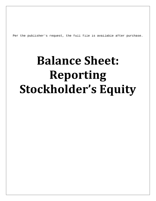Per the publisher's request, the full file is available after purchase.

## **Balance Sheet: Reporting Stockholder's Equity**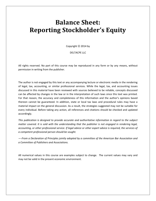## **Balance Sheet: Reporting Stockholder's Equity**

Copyright  $©$  2014 by

DELTACPE LLC

All rights reserved. No part of this course may be reproduced in any form or by any means, without permission in writing from the publisher.

The author is not engaged by this text or any accompanying lecture or electronic media in the rendering of legal, tax, accounting, or similar professional services. While the legal, tax, and accounting issues discussed in this material have been reviewed with sources believed to be reliable, concepts discussed can be affected by changes in the law or in the interpretation of such laws since this text was printed. For that reason, the accuracy and completeness of this information and the author's opinions based thereon cannot be guaranteed. In addition, state or local tax laws and procedural rules may have a material impact on the general discussion. As a result, the strategies suggested may not be suitable for every individual. Before taking any action, all references and citations should be checked and updated accordingly.

*This publication is designed to provide accurate and authoritative information in regard to the subject matter covered. It is sold with the understanding that the publisher is not engaged in rendering legal, accounting, or other professional service. If legal advice or other expert advice is required, the services of a competent professional person should be sought.*

*—-From a Declaration of Principles jointly adopted by a committee of the American Bar Association and a Committee of Publishers and Associations.*

All numerical values in this course are examples subject to change. The current values may vary and may not be valid in the present economic environment.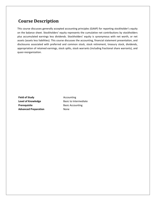## **Course Description**

This course discusses generally accepted accounting principles (GAAP) for reporting stockholder's equity on the balance sheet. Stockholders' equity represents the cumulative net contributions by stockholders plus accumulated earnings less dividends. Stockholders' equity is synonymous with net worth, or net assets (assets less liabilities). This course discusses the accounting, financial statement presentation, and disclosures associated with preferred and common stock, stock retirement, treasury stock, dividends, appropriation of retained earnings, stock splits, stock warrants (including fractional share warrants), and quasi-reorganization.

**Field of Study Accounting** Level of Knowledge **Basic to Intermediate Prerequisite** Basic Accounting **Advanced Preparation** None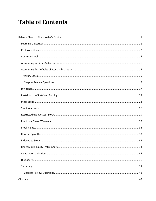## **Table of Contents**